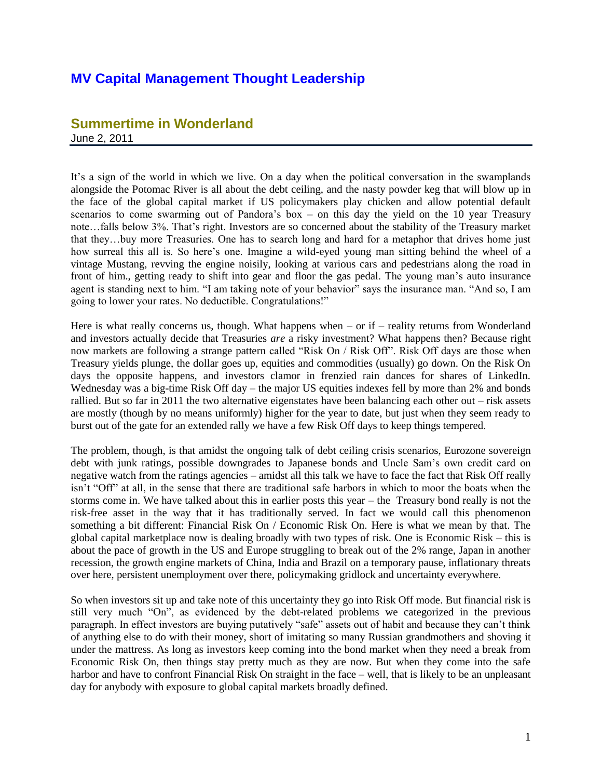## **MV Capital Management Thought Leadership**

## **Summertime in Wonderland** June 2, 2011

It's a sign of the world in which we live. On a day when the political conversation in the swamplands alongside the Potomac River is all about the debt ceiling, and the nasty powder keg that will blow up in the face of the global capital market if US policymakers play chicken and allow potential default scenarios to come swarming out of Pandora's box – on this day the yield on the 10 year Treasury note…falls below 3%. That's right. Investors are so concerned about the stability of the Treasury market that they…buy more Treasuries. One has to search long and hard for a metaphor that drives home just how surreal this all is. So here's one. Imagine a wild-eyed young man sitting behind the wheel of a vintage Mustang, revving the engine noisily, looking at various cars and pedestrians along the road in front of him., getting ready to shift into gear and floor the gas pedal. The young man's auto insurance agent is standing next to him. "I am taking note of your behavior" says the insurance man. "And so, I am going to lower your rates. No deductible. Congratulations!"

Here is what really concerns us, though. What happens when  $-$  or if  $-$  reality returns from Wonderland and investors actually decide that Treasuries *are* a risky investment? What happens then? Because right now markets are following a strange pattern called "Risk On / Risk Off". Risk Off days are those when Treasury yields plunge, the dollar goes up, equities and commodities (usually) go down. On the Risk On days the opposite happens, and investors clamor in frenzied rain dances for shares of LinkedIn. Wednesday was a big-time Risk Off day – the major US equities indexes fell by more than 2% and bonds rallied. But so far in 2011 the two alternative eigenstates have been balancing each other out – risk assets are mostly (though by no means uniformly) higher for the year to date, but just when they seem ready to burst out of the gate for an extended rally we have a few Risk Off days to keep things tempered.

The problem, though, is that amidst the ongoing talk of debt ceiling crisis scenarios, Eurozone sovereign debt with junk ratings, possible downgrades to Japanese bonds and Uncle Sam's own credit card on negative watch from the ratings agencies – amidst all this talk we have to face the fact that Risk Off really isn't "Off" at all, in the sense that there are traditional safe harbors in which to moor the boats when the storms come in. We have talked about this in earlier posts this year – the Treasury bond really is not the risk-free asset in the way that it has traditionally served. In fact we would call this phenomenon something a bit different: Financial Risk On / Economic Risk On. Here is what we mean by that. The global capital marketplace now is dealing broadly with two types of risk. One is Economic Risk – this is about the pace of growth in the US and Europe struggling to break out of the 2% range, Japan in another recession, the growth engine markets of China, India and Brazil on a temporary pause, inflationary threats over here, persistent unemployment over there, policymaking gridlock and uncertainty everywhere.

So when investors sit up and take note of this uncertainty they go into Risk Off mode. But financial risk is still very much "On", as evidenced by the debt-related problems we categorized in the previous paragraph. In effect investors are buying putatively "safe" assets out of habit and because they can't think of anything else to do with their money, short of imitating so many Russian grandmothers and shoving it under the mattress. As long as investors keep coming into the bond market when they need a break from Economic Risk On, then things stay pretty much as they are now. But when they come into the safe harbor and have to confront Financial Risk On straight in the face – well, that is likely to be an unpleasant day for anybody with exposure to global capital markets broadly defined.